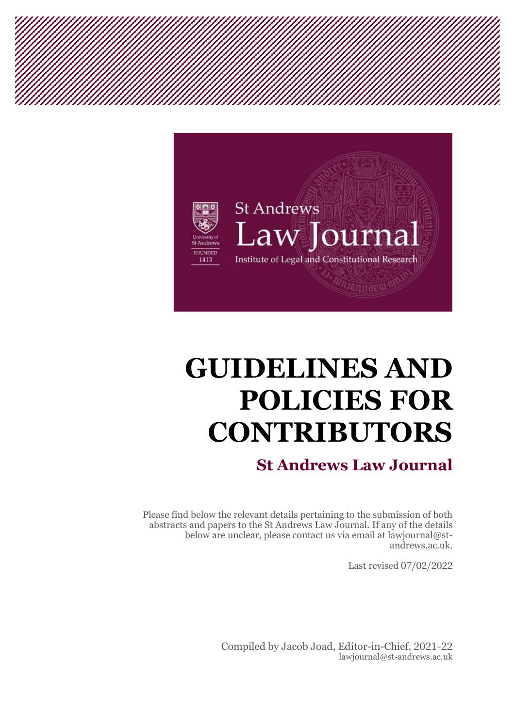

# **GUIDELINES AND POLICIES FOR CONTRIBUTORS**

## **St Andrews Law Journal**

Please find below the relevant details pertaining to the submission of both abstracts and papers to the St Andrews Law Journal. If any of the details below are unclear, please contact us via email at lawjournal@standrews.ac.uk.

Last revised 07/02/2022

Compiled by Jacob Joad, Editor-in-Chief, 2021-22 lawjournal@st-andrews.ac.uk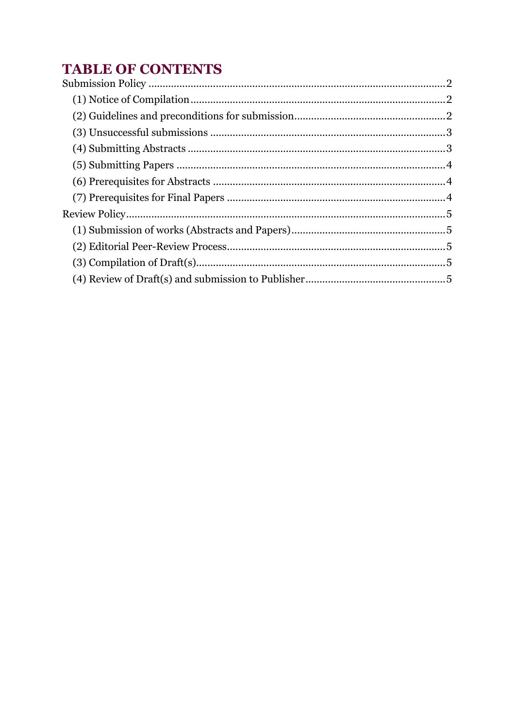## **TABLE OF CONTENTS**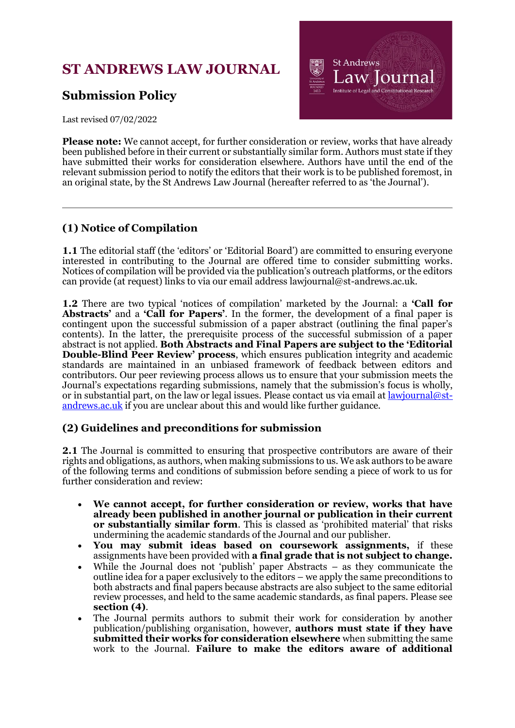## <span id="page-2-0"></span>**ST ANDREWS LAW JOURNAL**

### **Submission Policy**



Last revised 07/02/2022

**Please note:** We cannot accept, for further consideration or review, works that have already been published before in their current or substantially similar form. Authors must state if they have submitted their works for consideration elsewhere. Authors have until the end of the relevant submission period to notify the editors that their work is to be published foremost, in an original state, by the St Andrews Law Journal (hereafter referred to as 'the Journal').

#### <span id="page-2-1"></span>**(1) Notice of Compilation**

**1.1** The editorial staff (the 'editors' or 'Editorial Board') are committed to ensuring everyone interested in contributing to the Journal are offered time to consider submitting works. Notices of compilation will be provided via the publication's outreach platforms, or the editors can provide (at request) links to via our email address lawjournal@st-andrews.ac.uk.

**1.2** There are two typical 'notices of compilation' marketed by the Journal: a **'Call for Abstracts'** and a **'Call for Papers'**. In the former, the development of a final paper is contingent upon the successful submission of a paper abstract (outlining the final paper's contents). In the latter, the prerequisite process of the successful submission of a paper abstract is not applied. **Both Abstracts and Final Papers are subject to the 'Editorial Double-Blind Peer Review' process**, which ensures publication integrity and academic standards are maintained in an unbiased framework of feedback between editors and contributors. Our peer reviewing process allows us to ensure that your submission meets the Journal's expectations regarding submissions, namely that the submission's focus is wholly, or in substantial part, on the law or legal issues. Please contact us via email at lawiournal@st[andrews.ac.uk](mailto:lawjournal@st-andrews.ac.uk) if you are unclear about this and would like further guidance.

#### <span id="page-2-2"></span>**(2) Guidelines and preconditions for submission**

**2.1** The Journal is committed to ensuring that prospective contributors are aware of their rights and obligations, as authors, when making submissions to us. We ask authors to be aware of the following terms and conditions of submission before sending a piece of work to us for further consideration and review:

- **We cannot accept, for further consideration or review, works that have already been published in another journal or publication in their current or substantially similar form**. This is classed as 'prohibited material' that risks undermining the academic standards of the Journal and our publisher.
- **You may submit ideas based on coursework assignments,** if these assignments have been provided with **a final grade that is not subject to change.**
- While the Journal does not 'publish' paper Abstracts as they communicate the outline idea for a paper exclusively to the editors – we apply the same preconditions to both abstracts and final papers because abstracts are also subject to the same editorial review processes, and held to the same academic standards, as final papers. Please see **section (4)**.
- The Journal permits authors to submit their work for consideration by another publication/publishing organisation, however, **authors must state if they have submitted their works for consideration elsewhere** when submitting the same work to the Journal. **Failure to make the editors aware of additional**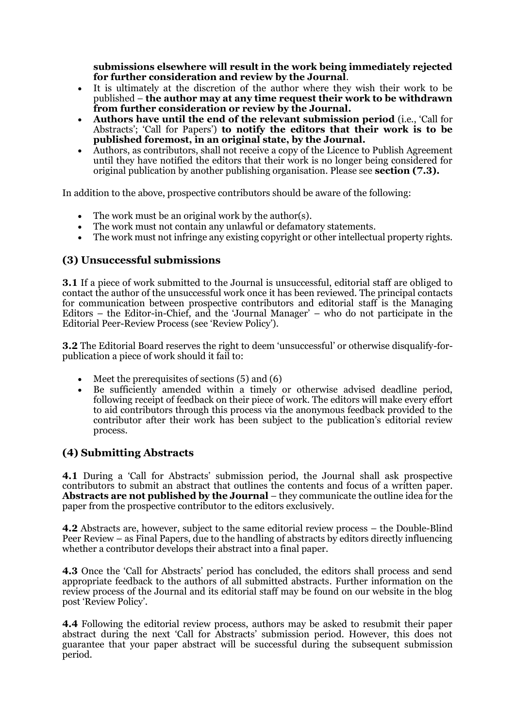**submissions elsewhere will result in the work being immediately rejected for further consideration and review by the Journal**.

- It is ultimately at the discretion of the author where they wish their work to be published – **the author may at any time request their work to be withdrawn from further consideration or review by the Journal.**
- **Authors have until the end of the relevant submission period** (i.e., 'Call for Abstracts'; 'Call for Papers') **to notify the editors that their work is to be published foremost, in an original state, by the Journal.**
- Authors, as contributors, shall not receive a copy of the Licence to Publish Agreement until they have notified the editors that their work is no longer being considered for original publication by another publishing organisation. Please see **section (7.3).**

In addition to the above, prospective contributors should be aware of the following:

- The work must be an original work by the author(s).
- The work must not contain any unlawful or defamatory statements.
- The work must not infringe any existing copyright or other intellectual property rights.

#### <span id="page-3-0"></span>**(3) Unsuccessful submissions**

**3.1** If a piece of work submitted to the Journal is unsuccessful, editorial staff are obliged to contact the author of the unsuccessful work once it has been reviewed. The principal contacts for communication between prospective contributors and editorial staff is the Managing Editors – the Editor-in-Chief, and the 'Journal Manager' – who do not participate in the Editorial Peer-Review Process (see 'Review Policy').

**3.2** The Editorial Board reserves the right to deem 'unsuccessful' or otherwise disqualify-forpublication a piece of work should it fail to:

- Meet the prerequisites of sections  $(5)$  and  $(6)$
- Be sufficiently amended within a timely or otherwise advised deadline period, following receipt of feedback on their piece of work. The editors will make every effort to aid contributors through this process via the anonymous feedback provided to the contributor after their work has been subject to the publication's editorial review process.

#### <span id="page-3-1"></span>**(4) Submitting Abstracts**

**4.1** During a 'Call for Abstracts' submission period, the Journal shall ask prospective contributors to submit an abstract that outlines the contents and focus of a written paper. **Abstracts are not published by the Journal** – they communicate the outline idea for the paper from the prospective contributor to the editors exclusively.

**4.2** Abstracts are, however, subject to the same editorial review process – the Double-Blind Peer Review – as Final Papers, due to the handling of abstracts by editors directly influencing whether a contributor develops their abstract into a final paper.

**4.3** Once the 'Call for Abstracts' period has concluded, the editors shall process and send appropriate feedback to the authors of all submitted abstracts. Further information on the review process of the Journal and its editorial staff may be found on our website in the blog post 'Review Policy'.

**4.4** Following the editorial review process, authors may be asked to resubmit their paper abstract during the next 'Call for Abstracts' submission period. However, this does not guarantee that your paper abstract will be successful during the subsequent submission period.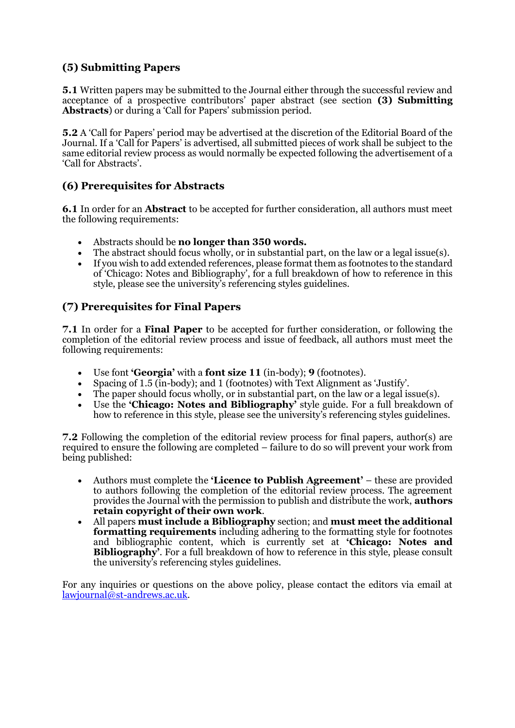#### <span id="page-4-0"></span>**(5) Submitting Papers**

**5.1** Written papers may be submitted to the Journal either through the successful review and acceptance of a prospective contributors' paper abstract (see section **(3) Submitting Abstracts**) or during a 'Call for Papers' submission period.

**5.2** A 'Call for Papers' period may be advertised at the discretion of the Editorial Board of the Journal. If a 'Call for Papers' is advertised, all submitted pieces of work shall be subject to the same editorial review process as would normally be expected following the advertisement of a 'Call for Abstracts'.

#### <span id="page-4-1"></span>**(6) Prerequisites for Abstracts**

**6.1** In order for an **Abstract** to be accepted for further consideration, all authors must meet the following requirements:

- Abstracts should be **no longer than 350 words.**
- The abstract should focus wholly, or in substantial part, on the law or a legal issue(s).
- If you wish to add extended references, please format them as footnotes to the standard of 'Chicago: Notes and Bibliography', for a full breakdown of how to reference in this style, please see the university's referencing styles guidelines.

#### <span id="page-4-2"></span>**(7) Prerequisites for Final Papers**

**7.1** In order for a **Final Paper** to be accepted for further consideration, or following the completion of the editorial review process and issue of feedback, all authors must meet the following requirements:

- Use font **'Georgia'** with a **font size 11** (in-body); **9** (footnotes).
- Spacing of 1.5 (in-body); and 1 (footnotes) with Text Alignment as 'Justify'.
- The paper should focus wholly, or in substantial part, on the law or a legal issue(s).
- Use the **'Chicago: Notes and Bibliography'** style guide. For a full breakdown of how to reference in this style, please see the university's referencing styles guidelines.

**7.2** Following the completion of the editorial review process for final papers, author(s) are required to ensure the following are completed – failure to do so will prevent your work from being published:

- Authors must complete the **'Licence to Publish Agreement'** these are provided to authors following the completion of the editorial review process. The agreement provides the Journal with the permission to publish and distribute the work, **authors retain copyright of their own work**.
- All papers **must include a Bibliography** section; and **must meet the additional formatting requirements** including adhering to the formatting style for footnotes and bibliographic content, which is currently set at **'Chicago: Notes and Bibliography'**. For a full breakdown of how to reference in this style, please consult the university's referencing styles guidelines.

For any inquiries or questions on the above policy, please contact the editors via email at [lawjournal@st-andrews.ac.uk.](mailto:lawjournal@st-andrews.ac.uk)